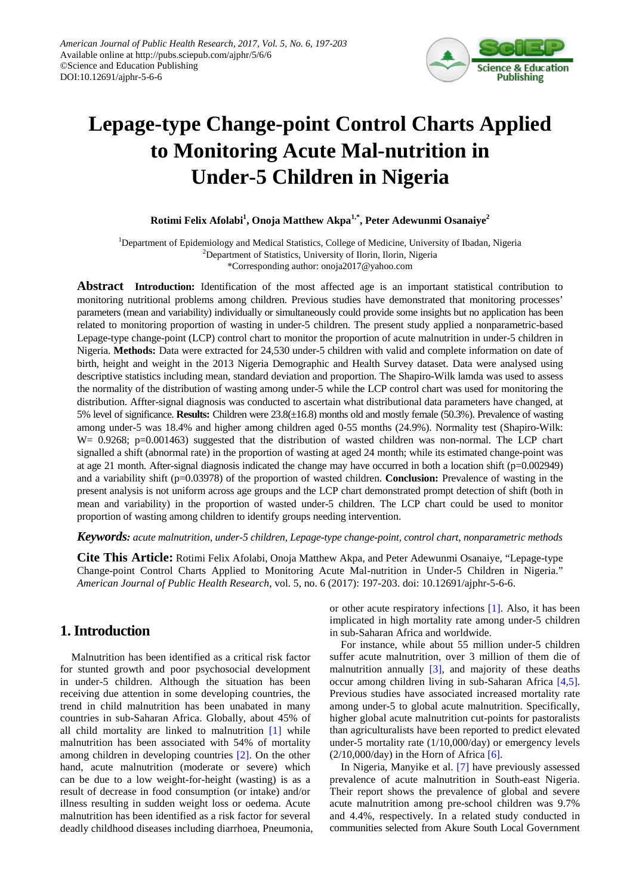

# **Lepage-type Change-point Control Charts Applied to Monitoring Acute Mal-nutrition in Under-5 Children in Nigeria**

#### **Rotimi Felix Afolabi1 , Onoja Matthew Akpa1,\*, Peter Adewunmi Osanaiye2**

<sup>1</sup>Department of Epidemiology and Medical Statistics, College of Medicine, University of Ibadan, Nigeria 2 Department of Statistics, University of Ilorin, Ilorin, Nigeria \*Corresponding author: onoja2017@yahoo.com

**Abstract Introduction:** Identification of the most affected age is an important statistical contribution to monitoring nutritional problems among children. Previous studies have demonstrated that monitoring processes' parameters (mean and variability) individually or simultaneously could provide some insights but no application has been related to monitoring proportion of wasting in under-5 children. The present study applied a nonparametric-based Lepage-type change-point (LCP) control chart to monitor the proportion of acute malnutrition in under-5 children in Nigeria. **Methods:** Data were extracted for 24,530 under-5 children with valid and complete information on date of birth, height and weight in the 2013 Nigeria Demographic and Health Survey dataset. Data were analysed using descriptive statistics including mean, standard deviation and proportion. The Shapiro-Wilk lamda was used to assess the normality of the distribution of wasting among under-5 while the LCP control chart was used for monitoring the distribution. Affter-signal diagnosis was conducted to ascertain what distributional data parameters have changed, at 5% level of significance. **Results:** Children were 23.8(±16.8) months old and mostly female (50.3%). Prevalence of wasting among under-5 was 18.4% and higher among children aged 0-55 months (24.9%). Normality test (Shapiro-Wilk: W= 0.9268; p=0.001463) suggested that the distribution of wasted children was non-normal. The LCP chart signalled a shift (abnormal rate) in the proportion of wasting at aged 24 month; while its estimated change-point was at age 21 month. After-signal diagnosis indicated the change may have occurred in both a location shift (p=0.002949) and a variability shift (p=0.03978) of the proportion of wasted children. **Conclusion:** Prevalence of wasting in the present analysis is not uniform across age groups and the LCP chart demonstrated prompt detection of shift (both in mean and variability) in the proportion of wasted under-5 children. The LCP chart could be used to monitor proportion of wasting among children to identify groups needing intervention.

*Keywords: acute malnutrition, under-5 children, Lepage-type change-point, control chart, nonparametric methods*

**Cite This Article:** Rotimi Felix Afolabi, Onoja Matthew Akpa, and Peter Adewunmi Osanaiye, "Lepage-type Change-point Control Charts Applied to Monitoring Acute Mal-nutrition in Under-5 Children in Nigeria." *American Journal of Public Health Research*, vol. 5, no. 6 (2017): 197-203. doi: 10.12691/ajphr-5-6-6.

# **1. Introduction**

Malnutrition has been identified as a critical risk factor for stunted growth and poor psychosocial development in under-5 children. Although the situation has been receiving due attention in some developing countries, the trend in child malnutrition has been unabated in many countries in sub-Saharan Africa. Globally, about 45% of all child mortality are linked to malnutrition [\[1\]](#page-5-0) while malnutrition has been associated with 54% of mortality among children in developing countries [\[2\].](#page-5-1) On the other hand, acute malnutrition (moderate or severe) which can be due to a low weight-for-height (wasting) is as a result of decrease in food consumption (or intake) and/or illness resulting in sudden weight loss or oedema. Acute malnutrition has been identified as a risk factor for several deadly childhood diseases including diarrhoea, Pneumonia, or other acute respiratory infections [\[1\].](#page-5-0) Also, it has been implicated in high mortality rate among under-5 children in sub-Saharan Africa and worldwide.

For instance, while about 55 million under-5 children suffer acute malnutrition, over 3 million of them die of malnutrition annually  $\begin{bmatrix} 3 \end{bmatrix}$ , and majority of these deaths occur among children living in sub-Saharan Africa [\[4,5\].](#page-5-3) Previous studies have associated increased mortality rate among under-5 to global acute malnutrition. Specifically, higher global acute malnutrition cut-points for pastoralists than agriculturalists have been reported to predict elevated under-5 mortality rate (1/10,000/day) or emergency levels  $(2/10,000/\text{day})$  in the Horn of Africa [\[6\].](#page-5-4)

In Nigeria, Manyike et al. [\[7\]](#page-5-5) have previously assessed prevalence of acute malnutrition in South-east Nigeria. Their report shows the prevalence of global and severe acute malnutrition among pre-school children was 9.7% and 4.4%, respectively. In a related study conducted in communities selected from Akure South Local Government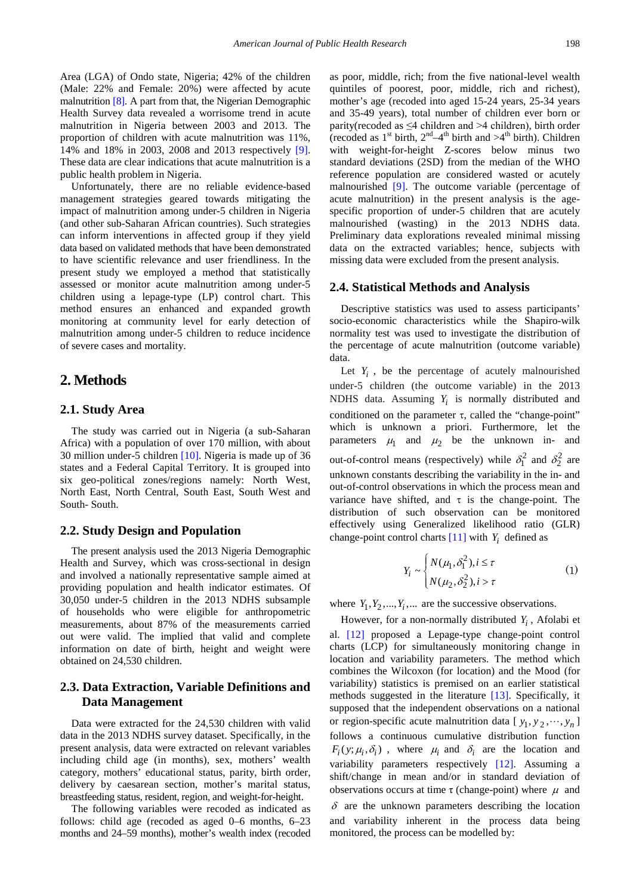Area (LGA) of Ondo state, Nigeria; 42% of the children (Male: 22% and Female: 20%) were affected by acute malnutrition [\[8\].](#page-5-6) A part from that, the Nigerian Demographic Health Survey data revealed a worrisome trend in acute malnutrition in Nigeria between 2003 and 2013. The proportion of children with acute malnutrition was 11%, 14% and 18% in 2003, 2008 and 2013 respectively [\[9\].](#page-5-7) These data are clear indications that acute malnutrition is a public health problem in Nigeria.

Unfortunately, there are no reliable evidence-based management strategies geared towards mitigating the impact of malnutrition among under-5 children in Nigeria (and other sub-Saharan African countries). Such strategies can inform interventions in affected group if they yield data based on validated methods that have been demonstrated to have scientific relevance and user friendliness. In the present study we employed a method that statistically assessed or monitor acute malnutrition among under-5 children using a lepage-type (LP) control chart. This method ensures an enhanced and expanded growth monitoring at community level for early detection of malnutrition among under-5 children to reduce incidence of severe cases and mortality.

# **2. Methods**

#### **2.1. Study Area**

The study was carried out in Nigeria (a sub-Saharan Africa) with a population of over 170 million, with about 30 million under-5 children [\[10\].](#page-5-8) Nigeria is made up of 36 states and a Federal Capital Territory. It is grouped into six geo-political zones/regions namely: North West, North East, North Central, South East, South West and South- South.

#### **2.2. Study Design and Population**

The present analysis used the 2013 Nigeria Demographic Health and Survey, which was cross-sectional in design and involved a nationally representative sample aimed at providing population and health indicator estimates. Of 30,050 under-5 children in the 2013 NDHS subsample of households who were eligible for anthropometric measurements, about 87% of the measurements carried out were valid. The implied that valid and complete information on date of birth, height and weight were obtained on 24,530 children.

#### **2.3. Data Extraction, Variable Definitions and Data Management**

Data were extracted for the 24,530 children with valid data in the 2013 NDHS survey dataset. Specifically, in the present analysis, data were extracted on relevant variables including child age (in months), sex, mothers' wealth category, mothers' educational status, parity, birth order, delivery by caesarean section, mother's marital status, breastfeeding status, resident, region, and weight-for-height.

The following variables were recoded as indicated as follows: child age (recoded as aged 0–6 months, 6–23 months and 24–59 months), mother's wealth index (recoded as poor, middle, rich; from the five national-level wealth quintiles of poorest, poor, middle, rich and richest), mother's age (recoded into aged 15-24 years, 25-34 years and 35-49 years), total number of children ever born or parity(recoded as  $\leq 4$  children and  $\geq 4$  children), birth order (recoded as  $1^{\text{st}}$  birth,  $2^{\text{nd}}-4^{\text{th}}$  birth and  $>4^{\text{th}}$  birth). Children with weight-for-height Z-scores below minus two standard deviations (2SD) from the median of the WHO reference population are considered wasted or acutely malnourished [\[9\].](#page-5-7) The outcome variable (percentage of acute malnutrition) in the present analysis is the agespecific proportion of under-5 children that are acutely malnourished (wasting) in the 2013 NDHS data. Preliminary data explorations revealed minimal missing data on the extracted variables; hence, subjects with missing data were excluded from the present analysis.

#### **2.4. Statistical Methods and Analysis**

Descriptive statistics was used to assess participants' socio-economic characteristics while the Shapiro-wilk normality test was used to investigate the distribution of the percentage of acute malnutrition (outcome variable) data.

Let  $Y_i$ , be the percentage of acutely malnourished under-5 children (the outcome variable) in the 2013 NDHS data. Assuming *Yi* is normally distributed and conditioned on the parameter  $\tau$ , called the "change-point" which is unknown a priori. Furthermore, let the parameters  $\mu_1$  and  $\mu_2$  be the unknown in- and out-of-control means (respectively) while  $\delta_1^2$  and  $\delta_2^2$  are unknown constants describing the variability in the in- and out-of-control observations in which the process mean and variance have shifted, and  $\tau$  is the change-point. The distribution of such observation can be monitored effectively using Generalized likelihood ratio (GLR) change-point control charts  $[11]$  with  $Y_i$  defined as

$$
Y_i \sim \begin{cases} N(\mu_1, \delta_1^2), i \le \tau \\ N(\mu_2, \delta_2^2), i > \tau \end{cases}
$$
 (1)

where  $Y_1, Y_2, \ldots, Y_i, \ldots$  are the successive observations.

However, for a non-normally distributed  $Y_i$ , Afolabi et al. [\[12\]](#page-5-10) proposed a Lepage-type change-point control charts (LCP) for simultaneously monitoring change in location and variability parameters. The method which combines the Wilcoxon (for location) and the Mood (for variability) statistics is premised on an earlier statistical methods suggested in the literature [\[13\].](#page-5-11) Specifically, it supposed that the independent observations on a national or region-specific acute malnutrition data  $[y_1, y_2, \dots, y_n]$ follows a continuous cumulative distribution function  $F_i(y; \mu_i, \delta_i)$ , where  $\mu_i$  and  $\delta_i$  are the location and variability parameters respectively [\[12\].](#page-5-10) Assuming a shift/change in mean and/or in standard deviation of observations occurs at time  $\tau$  (change-point) where  $\mu$  and  $\delta$  are the unknown parameters describing the location and variability inherent in the process data being monitored, the process can be modelled by: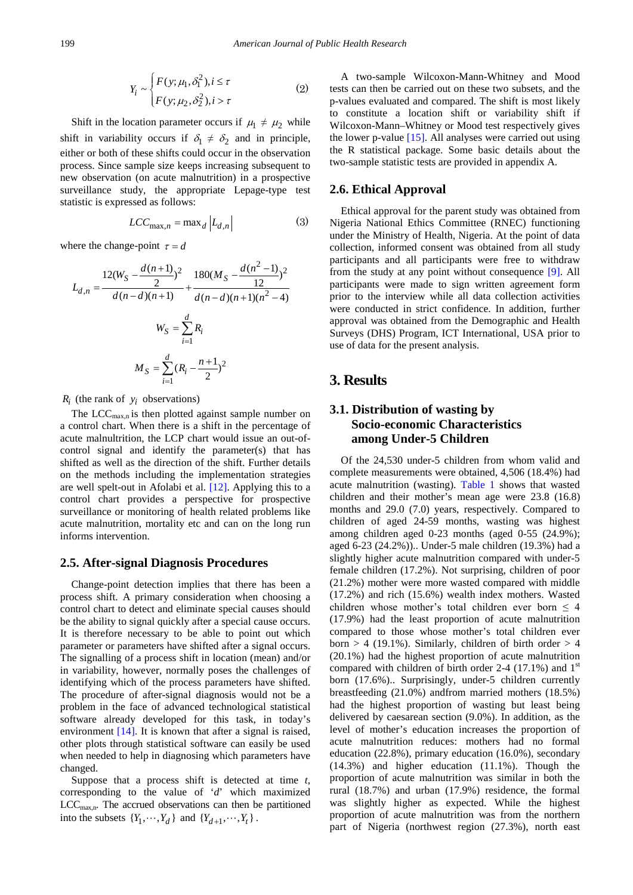$$
Y_i \sim \begin{cases} F(y; \mu_1, \delta_1^2), i \le \tau \\ F(y; \mu_2, \delta_2^2), i > \tau \end{cases}
$$
 (2)

Shift in the location parameter occurs if  $\mu_1 \neq \mu_2$  while shift in variability occurs if  $\delta_1 \neq \delta_2$  and in principle, either or both of these shifts could occur in the observation process. Since sample size keeps increasing subsequent to new observation (on acute malnutrition) in a prospective surveillance study, the appropriate Lepage-type test statistic is expressed as follows:

$$
LCC_{\max,n} = \max_{d} |L_{d,n}|
$$
 (3)

where the change-point  $\tau = d$ 

$$
L_{d,n} = \frac{12(W_S - \frac{d(n+1)}{2})^2}{d(n-d)(n+1)} + \frac{180(M_S - \frac{d(n^2 - 1)}{12})^2}{d(n-d)(n+1)(n^2 - 4)}
$$
  

$$
W_S = \sum_{i=1}^d R_i
$$
  

$$
M_S = \sum_{i=1}^d (R_i - \frac{n+1}{2})^2
$$

 $R_i$  (the rank of  $y_i$  observations)

The  $LCC<sub>max n</sub>$  is then plotted against sample number on a control chart. When there is a shift in the percentage of acute malnultrition, the LCP chart would issue an out-ofcontrol signal and identify the parameter(s) that has shifted as well as the direction of the shift. Further details on the methods including the implementation strategies are well spelt-out in Afolabi et al. [\[12\].](#page-5-10) Applying this to a control chart provides a perspective for prospective surveillance or monitoring of health related problems like acute malnutrition, mortality etc and can on the long run informs intervention.

#### **2.5. After-signal Diagnosis Procedures**

Change-point detection implies that there has been a process shift. A primary consideration when choosing a control chart to detect and eliminate special causes should be the ability to signal quickly after a special cause occurs. It is therefore necessary to be able to point out which parameter or parameters have shifted after a signal occurs. The signalling of a process shift in location (mean) and/or in variability, however, normally poses the challenges of identifying which of the process parameters have shifted. The procedure of after-signal diagnosis would not be a problem in the face of advanced technological statistical software already developed for this task, in today's environment [\[14\].](#page-5-12) It is known that after a signal is raised, other plots through statistical software can easily be used when needed to help in diagnosing which parameters have changed.

Suppose that a process shift is detected at time *t*, corresponding to the value of '*d*' which maximized  $LCC<sub>max,n</sub>$ . The accrued observations can then be partitioned into the subsets  $\{Y_1, \dots, Y_d\}$  and  $\{Y_{d+1}, \dots, Y_t\}$ .

A two-sample Wilcoxon-Mann-Whitney and Mood tests can then be carried out on these two subsets, and the p-values evaluated and compared. The shift is most likely to constitute a location shift or variability shift if Wilcoxon-Mann–Whitney or Mood test respectively gives the lower p-value [\[15\].](#page-5-13) All analyses were carried out using the R statistical package. Some basic details about the two-sample statistic tests are provided in appendix A.

#### **2.6. Ethical Approval**

Ethical approval for the parent study was obtained from Nigeria National Ethics Committee (RNEC) functioning under the Ministry of Health, Nigeria. At the point of data collection, informed consent was obtained from all study participants and all participants were free to withdraw from the study at any point without consequence [\[9\].](#page-5-7) All participants were made to sign written agreement form prior to the interview while all data collection activities were conducted in strict confidence. In addition, further approval was obtained from the Demographic and Health Surveys (DHS) Program, ICT International, USA prior to use of data for the present analysis.

# **3. Results**

#### **3.1. Distribution of wasting by Socio-economic Characteristics among Under-5 Children**

Of the 24,530 under-5 children from whom valid and complete measurements were obtained, 4,506 (18.4%) had acute malnutrition (wasting). [Table 1](#page-3-0) shows that wasted children and their mother's mean age were 23.8 (16.8) months and 29.0 (7.0) years, respectively. Compared to children of aged 24-59 months, wasting was highest among children aged 0-23 months (aged 0-55 (24.9%); aged 6-23 (24.2%)).. Under-5 male children (19.3%) had a slightly higher acute malnutrition compared with under-5 female children (17.2%). Not surprising, children of poor (21.2%) mother were more wasted compared with middle (17.2%) and rich (15.6%) wealth index mothers. Wasted children whose mother's total children ever born  $\leq$  4 (17.9%) had the least proportion of acute malnutrition compared to those whose mother's total children ever born  $> 4$  (19.1%). Similarly, children of birth order  $> 4$ (20.1%) had the highest proportion of acute malnutrition compared with children of birth order 2-4 (17.1%) and  $1<sup>st</sup>$ born (17.6%).. Surprisingly, under-5 children currently breastfeeding (21.0%) andfrom married mothers (18.5%) had the highest proportion of wasting but least being delivered by caesarean section (9.0%). In addition, as the level of mother's education increases the proportion of acute malnutrition reduces: mothers had no formal education (22.8%), primary education (16.0%), secondary (14.3%) and higher education (11.1%). Though the proportion of acute malnutrition was similar in both the rural (18.7%) and urban (17.9%) residence, the formal was slightly higher as expected. While the highest proportion of acute malnutrition was from the northern part of Nigeria (northwest region (27.3%), north east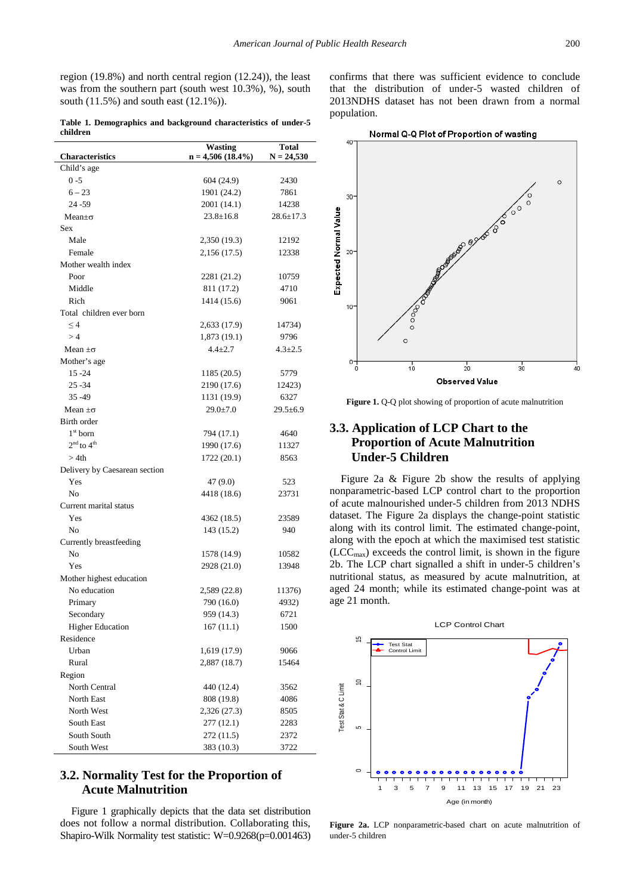region (19.8%) and north central region (12.24)), the least was from the southern part (south west 10.3%), %), south south (11.5%) and south east (12.1%)).

**Table 1. Demographics and background characteristics of under-5 children**

<span id="page-3-0"></span>

|                               | <b>Wasting</b>       | <b>Total</b>    |
|-------------------------------|----------------------|-----------------|
| <b>Characteristics</b>        | $n = 4,506 (18.4\%)$ | $N = 24,530$    |
| Child's age                   |                      |                 |
| $0 - 5$                       | 604 (24.9)           | 2430            |
| $6 - 23$                      | 1901 (24.2)          | 7861            |
| $24 - 59$                     | 2001 (14.1)          | 14238           |
| Mean $\pm \sigma$             | $23.8 \pm 16.8$      | $28.6 \pm 17.3$ |
| <b>Sex</b>                    |                      |                 |
| Male                          | 2,350 (19.3)         | 12192           |
| Female                        | 2,156(17.5)          | 12338           |
| Mother wealth index           |                      |                 |
| Poor                          | 2281 (21.2)          | 10759           |
| Middle                        | 811 (17.2)           | 4710            |
| Rich                          | 1414 (15.6)          | 9061            |
| Total children ever born      |                      |                 |
| $\leq 4$                      | 2,633 (17.9)         | 14734)          |
| >4                            | 1,873 (19.1)         | 9796            |
| Mean $\pm \sigma$             | $4.4 + 2.7$          | $4.3 \pm 2.5$   |
| Mother's age                  |                      |                 |
| $15 - 24$                     | 1185 (20.5)          | 5779            |
| 25 - 34                       | 2190 (17.6)          | 12423)          |
| $35 - 49$                     | 1131 (19.9)          | 6327            |
| Mean $\pm \sigma$             | $29.0 \pm 7.0$       | $29.5 \pm 6.9$  |
| Birth order                   |                      |                 |
| $1st$ born                    |                      | 4640            |
| $2nd$ to $4th$                | 794 (17.1)           |                 |
| >4th                          | 1990 (17.6)          | 11327           |
|                               | 1722 (20.1)          | 8563            |
| Delivery by Caesarean section |                      |                 |
| Yes                           | 47 (9.0)             | 523             |
| N <sub>0</sub>                | 4418 (18.6)          | 23731           |
| Current marital status        |                      |                 |
| Yes                           | 4362 (18.5)          | 23589           |
| No                            | 143 (15.2)           | 940             |
| Currently breastfeeding       |                      |                 |
| No                            | 1578 (14.9)          | 10582           |
| Yes                           | 2928 (21.0)          | 13948           |
| Mother highest education      |                      |                 |
| No education                  | 2,589 (22.8)         | 11376)          |
| Primary                       | 790 (16.0)           | 4932)           |
| Secondary                     | 959 (14.3)           | 6721            |
| <b>Higher Education</b>       | 167(11.1)            | 1500            |
| Residence                     |                      |                 |
| Urban                         | 1,619 (17.9)         | 9066            |
| Rural                         | 2,887 (18.7)         | 15464           |
| Region                        |                      |                 |
| North Central                 | 440 (12.4)           | 3562            |
| <b>North East</b>             | 808 (19.8)           | 4086            |
| North West                    | 2,326 (27.3)         | 8505            |
| South East                    | 277(12.1)            | 2283            |
| South South                   | 272 (11.5)           | 2372            |
| South West                    | 383 (10.3)           | 3722            |

### **3.2. Normality Test for the Proportion of Acute Malnutrition**

Figure 1 graphically depicts that the data set distribution does not follow a normal distribution. Collaborating this, Shapiro-Wilk Normality test statistic: W=0.9268(p=0.001463) confirms that there was sufficient evidence to conclude that the distribution of under-5 wasted children of 2013NDHS dataset has not been drawn from a normal population.



**Figure 1.** Q-Q plot showing of proportion of acute malnutrition

# **3.3. Application of LCP Chart to the Proportion of Acute Malnutrition Under-5 Children**

Figure 2a & Figure 2b show the results of applying nonparametric-based LCP control chart to the proportion of acute malnourished under-5 children from 2013 NDHS dataset. The Figure 2a displays the change-point statistic along with its control limit. The estimated change-point, along with the epoch at which the maximised test statistic  $(ICC<sub>max</sub>)$  exceeds the control limit, is shown in the figure 2b. The LCP chart signalled a shift in under-5 children's nutritional status, as measured by acute malnutrition, at aged 24 month; while its estimated change-point was at age 21 month.



**Figure 2a.** LCP nonparametric-based chart on acute malnutrition of under-5 children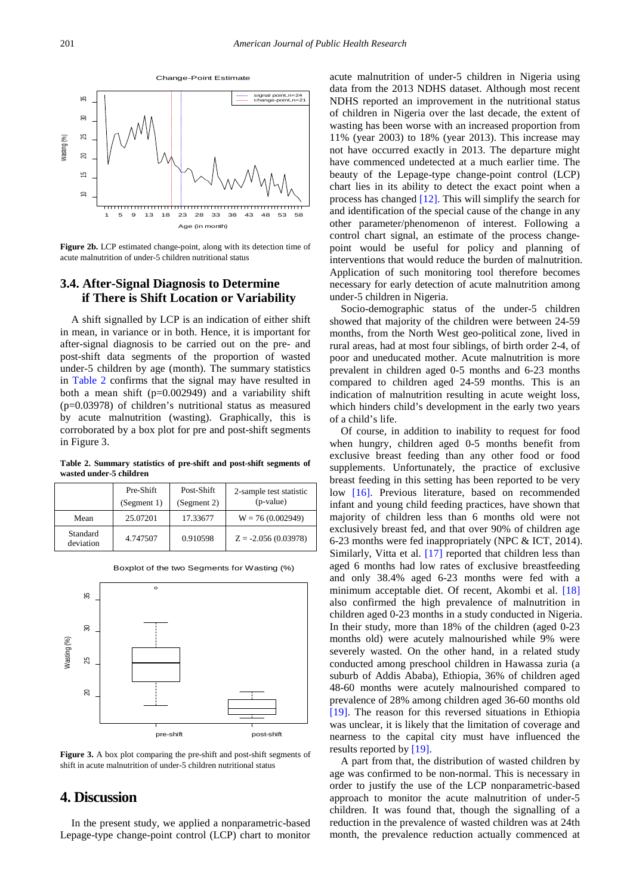

**Figure 2b.** LCP estimated change-point, along with its detection time of acute malnutrition of under-5 children nutritional status

### **3.4. After-Signal Diagnosis to Determine if There is Shift Location or Variability**

A shift signalled by LCP is an indication of either shift in mean, in variance or in both. Hence, it is important for after-signal diagnosis to be carried out on the pre- and post-shift data segments of the proportion of wasted under-5 children by age (month). The summary statistics in [Table 2](#page-4-0) confirms that the signal may have resulted in both a mean shift  $(p=0.002949)$  and a variability shift (p=0.03978) of children's nutritional status as measured by acute malnutrition (wasting). Graphically, this is corroborated by a box plot for pre and post-shift segments in Figure 3.

**Table 2. Summary statistics of pre-shift and post-shift segments of wasted under-5 children**

<span id="page-4-0"></span>

|                       | Pre-Shift<br>(Segment 1) | Post-Shift<br>(Segment 2) | 2-sample test statistic<br>(p-value) |
|-----------------------|--------------------------|---------------------------|--------------------------------------|
| Mean                  | 25.07201                 | 17.33677                  | $W = 76(0.002949)$                   |
| Standard<br>deviation | 4.747507                 | 0.910598                  | $Z = -2.056(0.03978)$                |



Boxplot of the two Segments for Wasting (%)

Figure 3. A box plot comparing the pre-shift and post-shift segments of shift in acute malnutrition of under-5 children nutritional status

## **4. Discussion**

In the present study, we applied a nonparametric-based Lepage-type change-point control (LCP) chart to monitor acute malnutrition of under-5 children in Nigeria using data from the 2013 NDHS dataset. Although most recent NDHS reported an improvement in the nutritional status of children in Nigeria over the last decade, the extent of wasting has been worse with an increased proportion from 11% (year 2003) to 18% (year 2013). This increase may not have occurred exactly in 2013. The departure might have commenced undetected at a much earlier time. The beauty of the Lepage-type change-point control (LCP) chart lies in its ability to detect the exact point when a process has changed [\[12\].](#page-5-10) This will simplify the search for and identification of the special cause of the change in any other parameter/phenomenon of interest. Following a control chart signal, an estimate of the process changepoint would be useful for policy and planning of interventions that would reduce the burden of malnutrition. Application of such monitoring tool therefore becomes necessary for early detection of acute malnutrition among under-5 children in Nigeria.

Socio-demographic status of the under-5 children showed that majority of the children were between 24-59 months, from the North West geo-political zone, lived in rural areas, had at most four siblings, of birth order 2-4, of poor and uneducated mother. Acute malnutrition is more prevalent in children aged 0-5 months and 6-23 months compared to children aged 24-59 months. This is an indication of malnutrition resulting in acute weight loss, which hinders child's development in the early two years of a child's life.

Of course, in addition to inability to request for food when hungry, children aged 0-5 months benefit from exclusive breast feeding than any other food or food supplements. Unfortunately, the practice of exclusive breast feeding in this setting has been reported to be very low [\[16\].](#page-5-14) Previous literature, based on recommended infant and young child feeding practices, have shown that majority of children less than 6 months old were not exclusively breast fed, and that over 90% of children age 6-23 months were fed inappropriately (NPC & ICT, 2014). Similarly, Vitta et al. [\[17\]](#page-5-15) reported that children less than aged 6 months had low rates of exclusive breastfeeding and only 38.4% aged 6-23 months were fed with a minimum acceptable diet. Of recent, Akombi et al. [\[18\]](#page-5-16) also confirmed the high prevalence of malnutrition in children aged 0-23 months in a study conducted in Nigeria. In their study, more than 18% of the children (aged 0-23 months old) were acutely malnourished while 9% were severely wasted. On the other hand, in a related study conducted among preschool children in Hawassa zuria (a suburb of Addis Ababa), Ethiopia, 36% of children aged 48-60 months were acutely malnourished compared to prevalence of 28% among children aged 36-60 months old [\[19\].](#page-5-17) The reason for this reversed situations in Ethiopia was unclear, it is likely that the limitation of coverage and nearness to the capital city must have influenced the results reported by [\[19\].](#page-5-17)

A part from that, the distribution of wasted children by age was confirmed to be non-normal. This is necessary in order to justify the use of the LCP nonparametric-based approach to monitor the acute malnutrition of under-5 children. It was found that, though the signalling of a reduction in the prevalence of wasted children was at 24th month, the prevalence reduction actually commenced at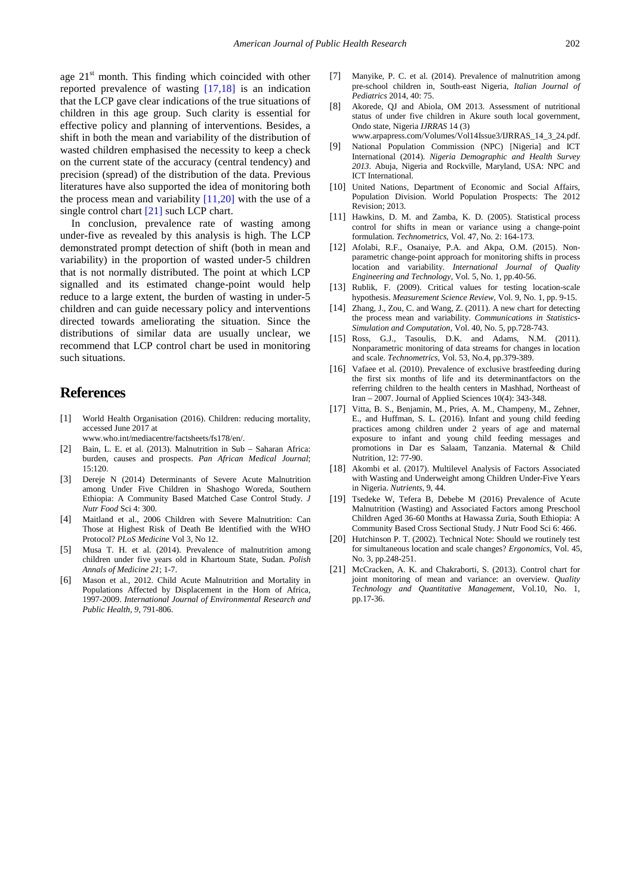age  $21<sup>st</sup>$  month. This finding which coincided with other reported prevalence of wasting [\[17,18\]](#page-5-15) is an indication that the LCP gave clear indications of the true situations of children in this age group. Such clarity is essential for effective policy and planning of interventions. Besides, a shift in both the mean and variability of the distribution of wasted children emphasised the necessity to keep a check on the current state of the accuracy (central tendency) and precision (spread) of the distribution of the data. Previous literatures have also supported the idea of monitoring both the process mean and variability  $[11,20]$  with the use of a single control chart [\[21\]](#page-5-18) such LCP chart.

In conclusion, prevalence rate of wasting among under-five as revealed by this analysis is high. The LCP demonstrated prompt detection of shift (both in mean and variability) in the proportion of wasted under-5 children that is not normally distributed. The point at which LCP signalled and its estimated change-point would help reduce to a large extent, the burden of wasting in under-5 children and can guide necessary policy and interventions directed towards ameliorating the situation. Since the distributions of similar data are usually unclear, we recommend that LCP control chart be used in monitoring such situations.

## **References**

- <span id="page-5-0"></span>[1] World Health Organisation (2016). Children: reducing mortality, accessed June 2017 at
	- www.who.int/mediacentre/factsheets/fs178/en/.
- <span id="page-5-1"></span>[2] Bain, L. E. et al. (2013). Malnutrition in Sub – Saharan Africa: burden, causes and prospects. *Pan African Medical Journal*; 15:120.
- <span id="page-5-2"></span>[3] Dereje N (2014) Determinants of Severe Acute Malnutrition among Under Five Children in Shashogo Woreda, Southern Ethiopia: A Community Based Matched Case Control Study. *J Nutr Food* Sci 4: 300.
- <span id="page-5-3"></span>[4] Maitland et al., 2006 Children with Severe Malnutrition: Can Those at Highest Risk of Death Be Identified with the WHO Protocol? *PLoS Medicine* Vol 3, No 12.
- [5] Musa T. H. et al. (2014). Prevalence of malnutrition among children under five years old in Khartoum State, Sudan. *Polish Annals of Medicine 21*; 1-7.
- <span id="page-5-4"></span>[6] Mason et al., 2012. Child Acute Malnutrition and Mortality in Populations Affected by Displacement in the Horn of Africa, 1997-2009. *International Journal of Environmental Research and Public Health, 9*, 791-806.
- <span id="page-5-5"></span>[7] Manyike, P. C. et al. (2014). Prevalence of malnutrition among pre-school children in, South-east Nigeria, *Italian Journal of Pediatrics* 2014, 40: 75.
- <span id="page-5-6"></span>[8] Akorede, QJ and Abiola, OM 2013. Assessment of nutritional status of under five children in Akure south local government, Ondo state, Nigeria *IJRRAS* 14 (3) www.arpapress.com/Volumes/Vol14Issue3/IJRRAS\_14\_3\_24.pdf.
- <span id="page-5-7"></span>[9] National Population Commission (NPC) [Nigeria] and ICT International (2014). *Nigeria Demographic and Health Survey 2013*. Abuja, Nigeria and Rockville, Maryland, USA: NPC and ICT International.
- <span id="page-5-8"></span>[10] United Nations, Department of Economic and Social Affairs, Population Division. World Population Prospects: The 2012 Revision; 2013.
- <span id="page-5-9"></span>[11] Hawkins, D. M. and Zamba, K. D. (2005). Statistical process control for shifts in mean or variance using a change-point formulation. *Technometrics*, Vol. 47, No. 2: 164-173.
- <span id="page-5-10"></span>[12] Afolabi, R.F., Osanaiye, P.A. and Akpa, O.M. (2015). Nonparametric change-point approach for monitoring shifts in process location and variability. *International Journal of Quality Engineering and Technology*, Vol. 5, No. 1, pp.40-56.
- <span id="page-5-11"></span>[13] Rublik, F. (2009). Critical values for testing location-scale hypothesis. *Measurement Science Review*, Vol. 9, No. 1, pp. 9-15.
- <span id="page-5-12"></span>[14] Zhang, J., Zou, C. and Wang, Z. (2011). A new chart for detecting the process mean and variability. *Communications in Statistics-Simulation and Computation*, Vol. 40, No. 5, pp.728-743.
- <span id="page-5-13"></span>[15] Ross, G.J., Tasoulis, D.K. and Adams, N.M. (2011). Nonparametric monitoring of data streams for changes in location and scale. *Technometrics,* Vol. 53, No.4, pp.379-389.
- <span id="page-5-14"></span>[16] Vafaee et al. (2010). Prevalence of exclusive brastfeeding during the first six months of life and its determinantfactors on the referring children to the health centers in Mashhad, Northeast of Iran – 2007. Journal of Applied Sciences 10(4): 343-348.
- <span id="page-5-15"></span>[17] Vitta, B. S., Benjamin, M., Pries, A. M., Champeny, M., Zehner, E., and Huffman, S. L. (2016). Infant and young child feeding practices among children under 2 years of age and maternal exposure to infant and young child feeding messages and promotions in Dar es Salaam, Tanzania. Maternal & Child Nutrition, 12: 77-90.
- <span id="page-5-16"></span>[18] Akombi et al. (2017). Multilevel Analysis of Factors Associated with Wasting and Underweight among Children Under-Five Years in Nigeria. *Nutrients*, 9, 44.
- <span id="page-5-17"></span>[19] Tsedeke W, Tefera B, Debebe M (2016) Prevalence of Acute Malnutrition (Wasting) and Associated Factors among Preschool Children Aged 36-60 Months at Hawassa Zuria, South Ethiopia: A Community Based Cross Sectional Study. J Nutr Food Sci 6: 466.
- [20] Hutchinson P. T. (2002). Technical Note: Should we routinely test for simultaneous location and scale changes? *Ergonomics,* Vol. 45, No. 3, pp.248-251.
- <span id="page-5-18"></span>[21] McCracken, A. K. and Chakraborti, S. (2013). Control chart for joint monitoring of mean and variance: an overview. *Quality Technology and Quantitative Management,* Vol.10, No. 1, pp.17-36.